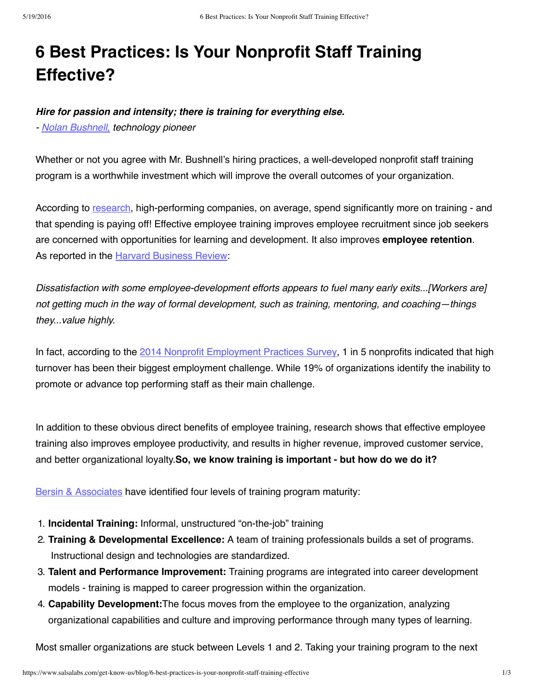# **6 Best Practices: Is Your Nonprofit Staff Training Effective?**

## *Hire for passion and intensity; there is training for everything else.*

*- Nolan [Bushnell,](http://nolanbushnell.com/) technology pioneer*

Whether or not you agree with Mr. Bushnell's hiring practices, a well-developed nonprofit staff training program is a worthwhile investment which will improve the overall outcomes of your organization.

According to [research,](http://www.bersin.com/) high-performing companies, on average, spend significantly more on training - and that spending is paying off! Effective employee training improves employee recruitment since job seekers are concerned with opportunities for learning and development. It also improves **employee retention**. As reported in the Harvard [Business](http://hbr.org/2012/07/why-top-young-managers-are-in-a-nonstop-job-hunt/ar/1) Review:

*Dissatisfaction with some employee-development efforts appears to fuel many early exits...[Workers are] not getting much in the way of formal development, such as training, mentoring, and coaching—things they...value highly.*

In fact, according to the 2014 Nonprofit [Employment](http://www.nonprofithr.com/2014-employment-trends-survey/) Practices Survey, 1 in 5 nonprofits indicated that high turnover has been their biggest employment challenge. While 19% of organizations identify the inability to promote or advance top performing staff as their main challenge.

In addition to these obvious direct benefits of employee training, research shows that effective employee training also improves employee productivity, and results in higher revenue, improved customer service, and better organizational loyalty.**So, we know training is important - but how do we do it?**

Bersin & [Associates](http://www.bersin.com/blog/post/The-New-Best-Practices-of-a-High-Impact-Learning-Organization.aspx) have identified four levels of training program maturity:

- 1. **Incidental Training:** Informal, unstructured "on-the-job" training
- 2. **Training & Developmental Excellence:** A team of training professionals builds a set of programs. Instructional design and technologies are standardized.
- 3. **Talent and Performance Improvement:** Training programs are integrated into career development models - training is mapped to career progression within the organization.
- 4. **Capability Development:**The focus moves from the employee to the organization, analyzing organizational capabilities and culture and improving performance through many types of learning.

Most smaller organizations are stuck between Levels 1 and 2. Taking your training program to the next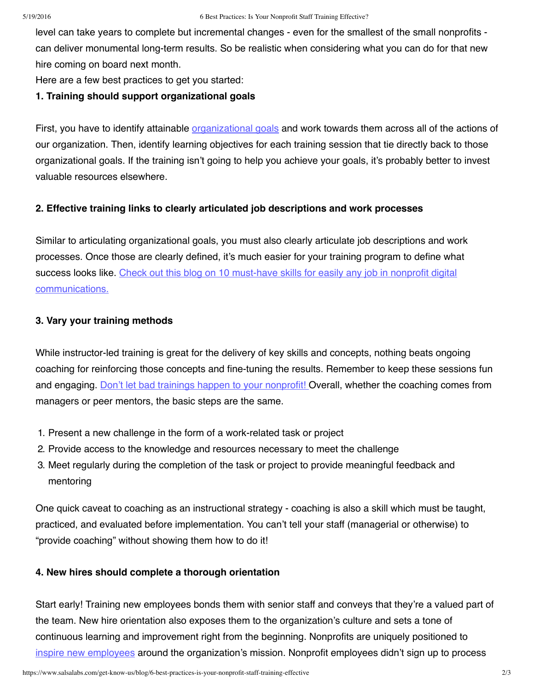level can take years to complete but incremental changes - even for the smallest of the small nonprofits can deliver monumental long-term results. So be realistic when considering what you can do for that new hire coming on board next month.

Here are a few best practices to get you started:

### **1. Training should support organizational goals**

First, you have to identify attainable *[organizational](https://www.salsalabs.com/support-community/blog/practical-steps-move-supporters-ladder-engagement) goals* and work towards them across all of the actions of our organization. Then, identify learning objectives for each training session that tie directly back to those organizational goals. If the training isn't going to help you achieve your goals, it's probably better to invest valuable resources elsewhere.

### **2. Effective training links to clearly articulated job descriptions and work processes**

Similar to articulating organizational goals, you must also clearly articulate job descriptions and work processes. Once those are clearly defined, it's much easier for your training program to define what success looks like. Check out this blog on 10 must-have skills for easily any job in nonprofit digital [communications.](http://www.nptechforgood.com/2014/07/14/10-must-have-skills-for-nonprofit-new-media-managers/)

### **3. Vary your training methods**

While instructor-led training is great for the delivery of key skills and concepts, nothing beats ongoing coaching for reinforcing those concepts and fine-tuning the results. Remember to keep these sessions fun and engaging. Don't let bad trainings happen to your [nonprofit!](https://www.salsalabs.com/support-community/blog/8-reasons-why-bad-trainings-happen-good-nonprofits) Overall, whether the coaching comes from managers or peer mentors, the basic steps are the same.

- 1. Present a new challenge in the form of a work-related task or project
- 2. Provide access to the knowledge and resources necessary to meet the challenge
- 3. Meet regularly during the completion of the task or project to provide meaningful feedback and mentoring

One quick caveat to coaching as an instructional strategy - coaching is also a skill which must be taught, practiced, and evaluated before implementation. You can't tell your staff (managerial or otherwise) to "provide coaching" without showing them how to do it!

### **4. New hires should complete a thorough orientation**

Start early! Training new employees bonds them with senior staff and conveys that they're a valued part of the team. New hire orientation also exposes them to the organization's culture and sets a tone of continuous learning and improvement right from the beginning. Nonprofits are uniquely positioned to inspire new [employees](http://philanthropy.com/article/Practical-Tips-for/52556/) around the organization's mission. Nonprofit employees didn't sign up to process